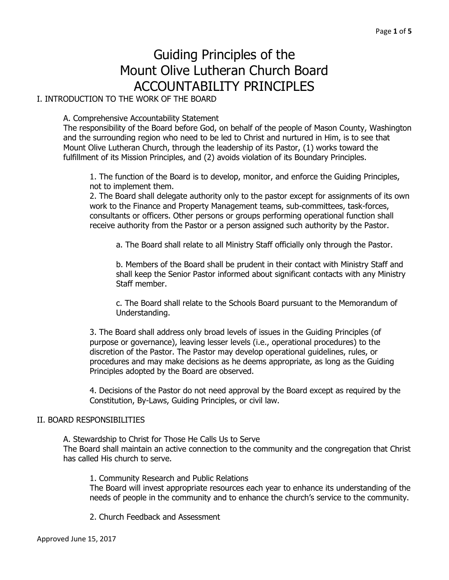# Guiding Principles of the Mount Olive Lutheran Church Board ACCOUNTABILITY PRINCIPLES

I. INTRODUCTION TO THE WORK OF THE BOARD

A. Comprehensive Accountability Statement

The responsibility of the Board before God, on behalf of the people of Mason County, Washington and the surrounding region who need to be led to Christ and nurtured in Him, is to see that Mount Olive Lutheran Church, through the leadership of its Pastor, (1) works toward the fulfillment of its Mission Principles, and (2) avoids violation of its Boundary Principles.

1. The function of the Board is to develop, monitor, and enforce the Guiding Principles, not to implement them.

2. The Board shall delegate authority only to the pastor except for assignments of its own work to the Finance and Property Management teams, sub-committees, task-forces, consultants or officers. Other persons or groups performing operational function shall receive authority from the Pastor or a person assigned such authority by the Pastor.

a. The Board shall relate to all Ministry Staff officially only through the Pastor.

b. Members of the Board shall be prudent in their contact with Ministry Staff and shall keep the Senior Pastor informed about significant contacts with any Ministry Staff member.

c. The Board shall relate to the Schools Board pursuant to the Memorandum of Understanding.

3. The Board shall address only broad levels of issues in the Guiding Principles (of purpose or governance), leaving lesser levels (i.e., operational procedures) to the discretion of the Pastor. The Pastor may develop operational guidelines, rules, or procedures and may make decisions as he deems appropriate, as long as the Guiding Principles adopted by the Board are observed.

4. Decisions of the Pastor do not need approval by the Board except as required by the Constitution, By-Laws, Guiding Principles, or civil law.

## II. BOARD RESPONSIBILITIES

A. Stewardship to Christ for Those He Calls Us to Serve The Board shall maintain an active connection to the community and the congregation that Christ has called His church to serve.

1. Community Research and Public Relations The Board will invest appropriate resources each year to enhance its understanding of the needs of people in the community and to enhance the church's service to the community.

2. Church Feedback and Assessment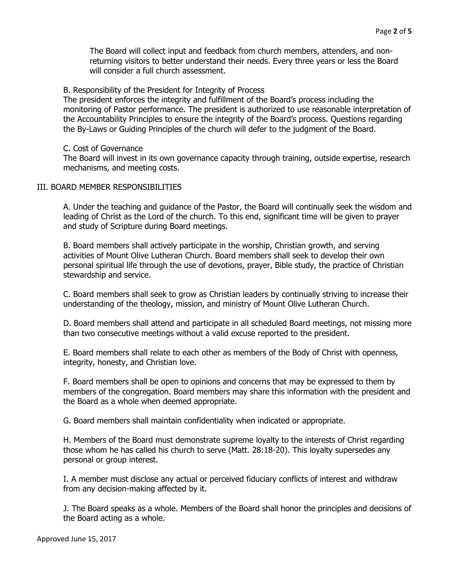The Board will collect input and feedback from church members, attenders, and nonreturning visitors to better understand their needs. Every three years or less the Board will consider a full church assessment.

## B. Responsibility of the President for Integrity of Process

The president enforces the integrity and fulfillment of the Board's process including the monitoring of Pastor performance. The president is authorized to use reasonable interpretation of the Accountability Principles to ensure the integrity of the Board's process. Questions regarding the By-Laws or Guiding Principles of the church will defer to the judgment of the Board.

## C. Cost of Governance

The Board will invest in its own governance capacity through training, outside expertise, research mechanisms, and meeting costs.

# III. BOARD MEMBER RESPONSIBILITIES

A. Under the teaching and guidance of the Pastor, the Board will continually seek the wisdom and leading of Christ as the Lord of the church. To this end, significant time will be given to prayer and study of Scripture during Board meetings.

B. Board members shall actively participate in the worship, Christian growth, and serving activities of Mount Olive Lutheran Church. Board members shall seek to develop their own personal spiritual life through the use of devotions, prayer, Bible study, the practice of Christian stewardship and service.

C. Board members shall seek to grow as Christian leaders by continually striving to increase their understanding of the theology, mission, and ministry of Mount Olive Lutheran Church.

D. Board members shall attend and participate in all scheduled Board meetings, not missing more than two consecutive meetings without a valid excuse reported to the president.

E. Board members shall relate to each other as members of the Body of Christ with openness, integrity, honesty, and Christian love.

F. Board members shall be open to opinions and concerns that may be expressed to them by members of the congregation. Board members may share this information with the president and the Board as a whole when deemed appropriate.

G. Board members shall maintain confidentiality when indicated or appropriate.

H. Members of the Board must demonstrate supreme loyalty to the interests of Christ regarding those whom he has called his church to serve (Matt. 28:18-20). This loyalty supersedes any personal or group interest.

I. A member must disclose any actual or perceived fiduciary conflicts of interest and withdraw from any decision-making affected by it.

J. The Board speaks as a whole. Members of the Board shall honor the principles and decisions of the Board acting as a whole.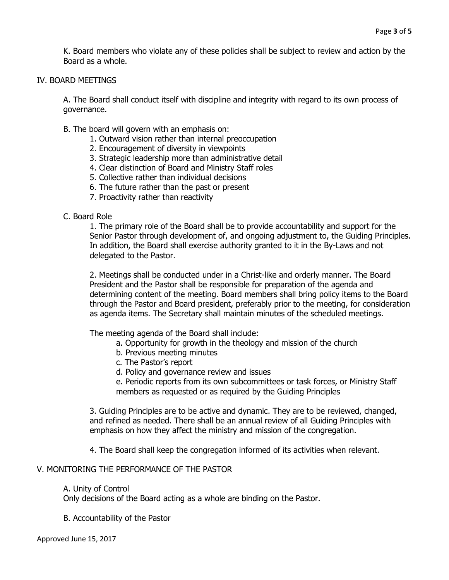K. Board members who violate any of these policies shall be subject to review and action by the Board as a whole.

## IV. BOARD MEETINGS

A. The Board shall conduct itself with discipline and integrity with regard to its own process of governance.

- B. The board will govern with an emphasis on:
	- 1. Outward vision rather than internal preoccupation
	- 2. Encouragement of diversity in viewpoints
	- 3. Strategic leadership more than administrative detail
	- 4. Clear distinction of Board and Ministry Staff roles
	- 5. Collective rather than individual decisions
	- 6. The future rather than the past or present
	- 7. Proactivity rather than reactivity

## C. Board Role

1. The primary role of the Board shall be to provide accountability and support for the Senior Pastor through development of, and ongoing adjustment to, the Guiding Principles. In addition, the Board shall exercise authority granted to it in the By-Laws and not delegated to the Pastor.

2. Meetings shall be conducted under in a Christ-like and orderly manner. The Board President and the Pastor shall be responsible for preparation of the agenda and determining content of the meeting. Board members shall bring policy items to the Board through the Pastor and Board president, preferably prior to the meeting, for consideration as agenda items. The Secretary shall maintain minutes of the scheduled meetings.

The meeting agenda of the Board shall include:

- a. Opportunity for growth in the theology and mission of the church
- b. Previous meeting minutes
- c. The Pastor's report
- d. Policy and governance review and issues

e. Periodic reports from its own subcommittees or task forces, or Ministry Staff members as requested or as required by the Guiding Principles

3. Guiding Principles are to be active and dynamic. They are to be reviewed, changed, and refined as needed. There shall be an annual review of all Guiding Principles with emphasis on how they affect the ministry and mission of the congregation.

4. The Board shall keep the congregation informed of its activities when relevant.

## V. MONITORING THE PERFORMANCE OF THE PASTOR

#### A. Unity of Control

Only decisions of the Board acting as a whole are binding on the Pastor.

B. Accountability of the Pastor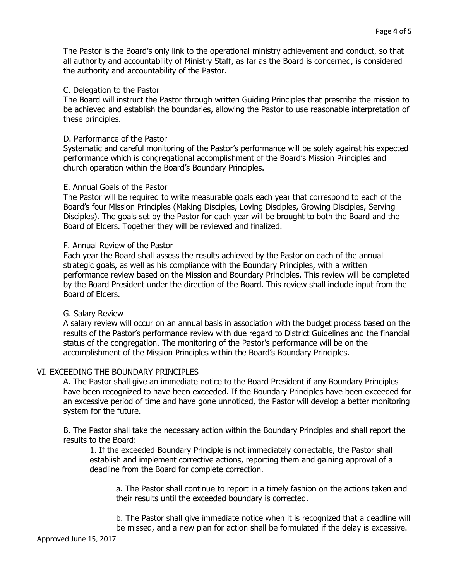# C. Delegation to the Pastor

The Board will instruct the Pastor through written Guiding Principles that prescribe the mission to be achieved and establish the boundaries, allowing the Pastor to use reasonable interpretation of these principles.

# D. Performance of the Pastor

Systematic and careful monitoring of the Pastor's performance will be solely against his expected performance which is congregational accomplishment of the Board's Mission Principles and church operation within the Board's Boundary Principles.

# E. Annual Goals of the Pastor

The Pastor will be required to write measurable goals each year that correspond to each of the Board's four Mission Principles (Making Disciples, Loving Disciples, Growing Disciples, Serving Disciples). The goals set by the Pastor for each year will be brought to both the Board and the Board of Elders. Together they will be reviewed and finalized.

# F. Annual Review of the Pastor

Each year the Board shall assess the results achieved by the Pastor on each of the annual strategic goals, as well as his compliance with the Boundary Principles, with a written performance review based on the Mission and Boundary Principles. This review will be completed by the Board President under the direction of the Board. This review shall include input from the Board of Elders.

## G. Salary Review

A salary review will occur on an annual basis in association with the budget process based on the results of the Pastor's performance review with due regard to District Guidelines and the financial status of the congregation. The monitoring of the Pastor's performance will be on the accomplishment of the Mission Principles within the Board's Boundary Principles.

# VI. EXCEEDING THE BOUNDARY PRINCIPLES

A. The Pastor shall give an immediate notice to the Board President if any Boundary Principles have been recognized to have been exceeded. If the Boundary Principles have been exceeded for an excessive period of time and have gone unnoticed, the Pastor will develop a better monitoring system for the future.

B. The Pastor shall take the necessary action within the Boundary Principles and shall report the results to the Board:

1. If the exceeded Boundary Principle is not immediately correctable, the Pastor shall establish and implement corrective actions, reporting them and gaining approval of a deadline from the Board for complete correction.

a. The Pastor shall continue to report in a timely fashion on the actions taken and their results until the exceeded boundary is corrected.

b. The Pastor shall give immediate notice when it is recognized that a deadline will be missed, and a new plan for action shall be formulated if the delay is excessive.